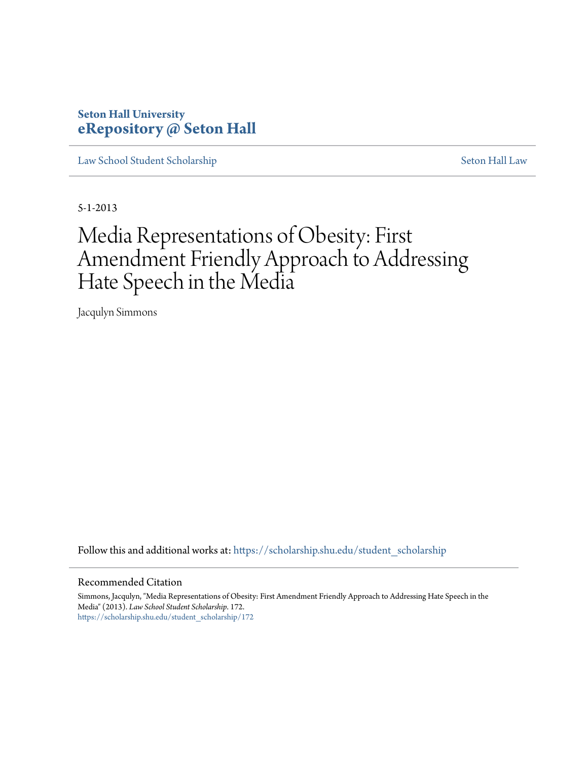# **Seton Hall University [eRepository @ Seton Hall](https://scholarship.shu.edu?utm_source=scholarship.shu.edu%2Fstudent_scholarship%2F172&utm_medium=PDF&utm_campaign=PDFCoverPages)**

[Law School Student Scholarship](https://scholarship.shu.edu/student_scholarship?utm_source=scholarship.shu.edu%2Fstudent_scholarship%2F172&utm_medium=PDF&utm_campaign=PDFCoverPages) [Seton Hall Law](https://scholarship.shu.edu/law?utm_source=scholarship.shu.edu%2Fstudent_scholarship%2F172&utm_medium=PDF&utm_campaign=PDFCoverPages)

5-1-2013

# Media Representations of Obesity: First Amendment Friendly Approach to Addressing Hate Speech in the Media

Jacqulyn Simmons

Follow this and additional works at: [https://scholarship.shu.edu/student\\_scholarship](https://scholarship.shu.edu/student_scholarship?utm_source=scholarship.shu.edu%2Fstudent_scholarship%2F172&utm_medium=PDF&utm_campaign=PDFCoverPages)

#### Recommended Citation

Simmons, Jacqulyn, "Media Representations of Obesity: First Amendment Friendly Approach to Addressing Hate Speech in the Media" (2013). *Law School Student Scholarship*. 172. [https://scholarship.shu.edu/student\\_scholarship/172](https://scholarship.shu.edu/student_scholarship/172?utm_source=scholarship.shu.edu%2Fstudent_scholarship%2F172&utm_medium=PDF&utm_campaign=PDFCoverPages)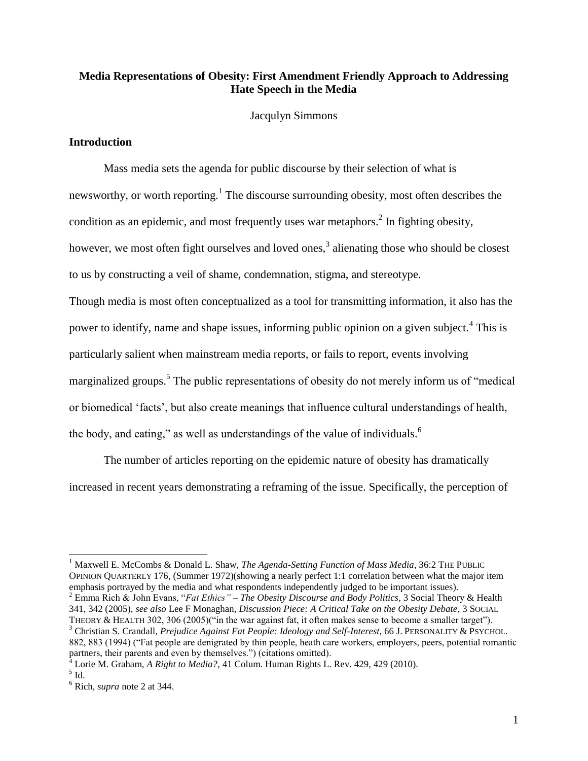# **Media Representations of Obesity: First Amendment Friendly Approach to Addressing Hate Speech in the Media**

Jacqulyn Simmons

#### **Introduction**

Mass media sets the agenda for public discourse by their selection of what is newsworthy, or worth reporting.<sup>1</sup> The discourse surrounding obesity, most often describes the condition as an epidemic, and most frequently uses war metaphors.<sup>2</sup> In fighting obesity, however, we most often fight ourselves and loved ones,<sup>3</sup> alienating those who should be closest to us by constructing a veil of shame, condemnation, stigma, and stereotype.

Though media is most often conceptualized as a tool for transmitting information, it also has the power to identify, name and shape issues, informing public opinion on a given subject.<sup>4</sup> This is particularly salient when mainstream media reports, or fails to report, events involving marginalized groups.<sup>5</sup> The public representations of obesity do not merely inform us of "medical or biomedical 'facts', but also create meanings that influence cultural understandings of health, the body, and eating," as well as understandings of the value of individuals.<sup>6</sup>

The number of articles reporting on the epidemic nature of obesity has dramatically increased in recent years demonstrating a reframing of the issue. Specifically, the perception of

<sup>2</sup> Emma Rich & John Evans, "*Fat Ethics" – The Obesity Discourse and Body Politics*, 3 Social Theory & Health 341, 342 (2005), *see also* Lee F Monaghan, *Discussion Piece: A Critical Take on the Obesity Debate*, 3 SOCIAL

THEORY & HEALTH 302, 306 (2005)("in the war against fat, it often makes sense to become a smaller target"). <sup>3</sup> Christian S. Crandall, *Prejudice Against Fat People: Ideology and Self-Interest*, 66 J. PERSONALITY & PSYCHOL. 882, 883 (1994) ("Fat people are denigrated by thin people, heath care workers, employers, peers, potential romantic partners, their parents and even by themselves.") (citations omitted).

<sup>4</sup> Lorie M. Graham, *A Right to Media?*, 41 Colum. Human Rights L. Rev. 429, 429 (2010).

<sup>&</sup>lt;sup>1</sup> Maxwell E. McCombs & Donald L. Shaw, *The Agenda-Setting Function of Mass Media*, 36:2 THE PUBLIC OPINION QUARTERLY 176, (Summer 1972)(showing a nearly perfect 1:1 correlation between what the major item emphasis portrayed by the media and what respondents independently judged to be important issues).

 $<sup>5</sup>$  Id.</sup>

<sup>6</sup> Rich, *supra* note 2 at 344.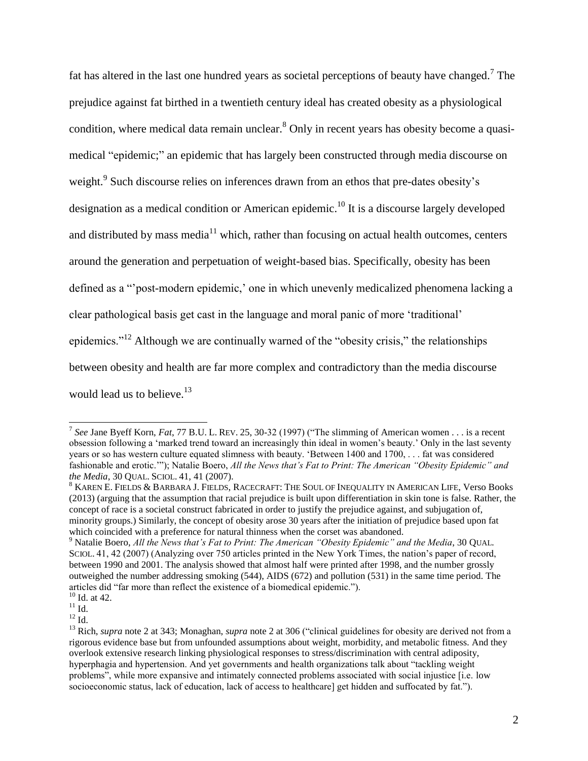fat has altered in the last one hundred years as societal perceptions of beauty have changed.<sup>7</sup> The prejudice against fat birthed in a twentieth century ideal has created obesity as a physiological condition, where medical data remain unclear.<sup>8</sup> Only in recent years has obesity become a quasimedical "epidemic;" an epidemic that has largely been constructed through media discourse on weight.<sup>9</sup> Such discourse relies on inferences drawn from an ethos that pre-dates obesity's designation as a medical condition or American epidemic.<sup>10</sup> It is a discourse largely developed and distributed by mass media $11$  which, rather than focusing on actual health outcomes, centers around the generation and perpetuation of weight-based bias. Specifically, obesity has been defined as a "'post-modern epidemic,' one in which unevenly medicalized phenomena lacking a clear pathological basis get cast in the language and moral panic of more 'traditional' epidemics."<sup>12</sup> Although we are continually warned of the "obesity crisis," the relationships between obesity and health are far more complex and contradictory than the media discourse would lead us to believe.<sup>13</sup>

<sup>7</sup> *See* Jane Byeff Korn, *Fat*, 77 B.U. L. REV. 25, 30-32 (1997) ("The slimming of American women . . . is a recent obsession following a 'marked trend toward an increasingly thin ideal in women's beauty.' Only in the last seventy years or so has western culture equated slimness with beauty. 'Between 1400 and 1700, . . . fat was considered fashionable and erotic.'"); Natalie Boero, *All the News that's Fat to Print: The American "Obesity Epidemic" and the Media*, 30 QUAL. SCIOL. 41, 41 (2007).

<sup>8</sup> KAREN E. FIELDS & BARBARA J. FIELDS, RACECRAFT: THE SOUL OF INEQUALITY IN AMERICAN LIFE, Verso Books (2013) (arguing that the assumption that racial prejudice is built upon differentiation in skin tone is false. Rather, the concept of race is a societal construct fabricated in order to justify the prejudice against, and subjugation of, minority groups.) Similarly, the concept of obesity arose 30 years after the initiation of prejudice based upon fat which coincided with a preference for natural thinness when the corset was abandoned.

<sup>&</sup>lt;sup>9</sup> Natalie Boero, *All the News that's Fat to Print: The American "Obesity Epidemic" and the Media*, 30 QUAL. SCIOL. 41, 42 (2007) (Analyzing over 750 articles printed in the New York Times, the nation's paper of record, between 1990 and 2001. The analysis showed that almost half were printed after 1998, and the number grossly outweighed the number addressing smoking (544), AIDS (672) and pollution (531) in the same time period. The articles did "far more than reflect the existence of a biomedical epidemic.").

 $10$  Id. at 42.

 $11$  Id.

 $^{12}$  Id.

<sup>13</sup> Rich, *supra* note 2 at 343; Monaghan, *supra* note 2 at 306 ("clinical guidelines for obesity are derived not from a rigorous evidence base but from unfounded assumptions about weight, morbidity, and metabolic fitness. And they overlook extensive research linking physiological responses to stress/discrimination with central adiposity, hyperphagia and hypertension. And yet governments and health organizations talk about "tackling weight problems", while more expansive and intimately connected problems associated with social injustice [i.e. low socioeconomic status, lack of education, lack of access to healthcare] get hidden and suffocated by fat.").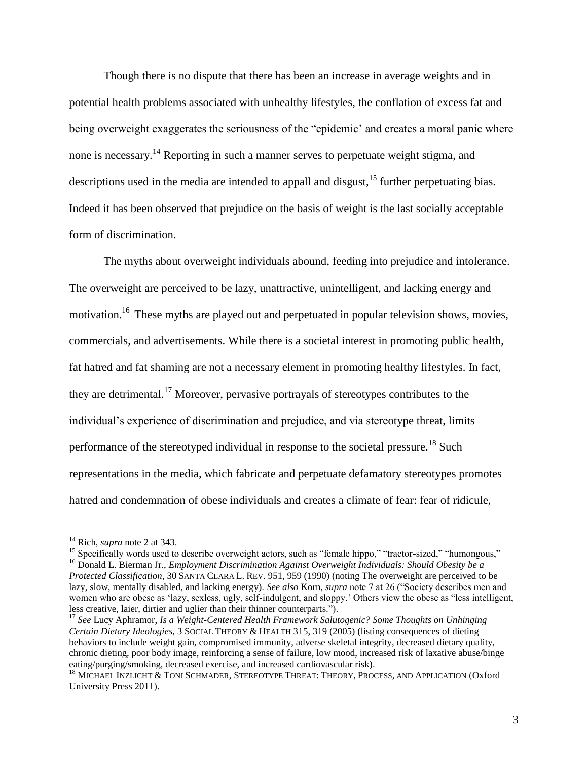Though there is no dispute that there has been an increase in average weights and in potential health problems associated with unhealthy lifestyles, the conflation of excess fat and being overweight exaggerates the seriousness of the "epidemic' and creates a moral panic where none is necessary.<sup>14</sup> Reporting in such a manner serves to perpetuate weight stigma, and descriptions used in the media are intended to appall and disgust,<sup>15</sup> further perpetuating bias. Indeed it has been observed that prejudice on the basis of weight is the last socially acceptable form of discrimination.

The myths about overweight individuals abound, feeding into prejudice and intolerance. The overweight are perceived to be lazy, unattractive, unintelligent, and lacking energy and motivation.<sup>16</sup> These myths are played out and perpetuated in popular television shows, movies, commercials, and advertisements. While there is a societal interest in promoting public health, fat hatred and fat shaming are not a necessary element in promoting healthy lifestyles. In fact, they are detrimental.<sup>17</sup> Moreover, pervasive portrayals of stereotypes contributes to the individual's experience of discrimination and prejudice, and via stereotype threat, limits performance of the stereotyped individual in response to the societal pressure.<sup>18</sup> Such representations in the media, which fabricate and perpetuate defamatory stereotypes promotes hatred and condemnation of obese individuals and creates a climate of fear: fear of ridicule,

l

<sup>15</sup> Specifically words used to describe overweight actors, such as "female hippo," "tractor-sized," "humongous," <sup>16</sup> Donald L. Bierman Jr., *Employment Discrimination Against Overweight Individuals: Should Obesity be a Protected Classification*, 30 SANTA CLARA L. REV. 951, 959 (1990) (noting The overweight are perceived to be lazy, slow, mentally disabled, and lacking energy). *See also* Korn, *supra* note 7 at 26 ("Society describes men and women who are obese as 'lazy, sexless, ugly, self-indulgent, and sloppy.' Others view the obese as "less intelligent, less creative, laier, dirtier and uglier than their thinner counterparts.").

<sup>17</sup> *See* Lucy Aphramor, *Is a Weight-Centered Health Framework Salutogenic? Some Thoughts on Unhinging Certain Dietary Ideologies*, 3 SOCIAL THEORY & HEALTH 315, 319 (2005) (listing consequences of dieting behaviors to include weight gain, compromised immunity, adverse skeletal integrity, decreased dietary quality, chronic dieting, poor body image, reinforcing a sense of failure, low mood, increased risk of laxative abuse/binge eating/purging/smoking, decreased exercise, and increased cardiovascular risk).

<sup>14</sup> Rich, *supra* note 2 at 343.

<sup>&</sup>lt;sup>18</sup> MICHAEL INZLICHT & TONI SCHMADER, STEREOTYPE THREAT: THEORY, PROCESS, AND APPLICATION (Oxford University Press 2011).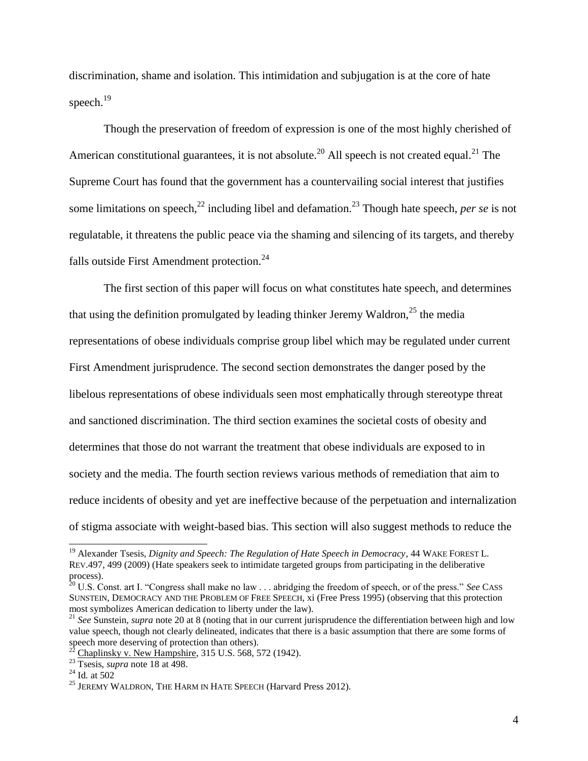discrimination, shame and isolation. This intimidation and subjugation is at the core of hate speech. $^{19}$ 

Though the preservation of freedom of expression is one of the most highly cherished of American constitutional guarantees, it is not absolute.<sup>20</sup> All speech is not created equal.<sup>21</sup> The Supreme Court has found that the government has a countervailing social interest that justifies some limitations on speech,<sup>22</sup> including libel and defamation.<sup>23</sup> Though hate speech, *per se* is not regulatable, it threatens the public peace via the shaming and silencing of its targets, and thereby falls outside First Amendment protection.<sup>24</sup>

The first section of this paper will focus on what constitutes hate speech, and determines that using the definition promulgated by leading thinker Jeremy Waldron,<sup>25</sup> the media representations of obese individuals comprise group libel which may be regulated under current First Amendment jurisprudence. The second section demonstrates the danger posed by the libelous representations of obese individuals seen most emphatically through stereotype threat and sanctioned discrimination. The third section examines the societal costs of obesity and determines that those do not warrant the treatment that obese individuals are exposed to in society and the media. The fourth section reviews various methods of remediation that aim to reduce incidents of obesity and yet are ineffective because of the perpetuation and internalization of stigma associate with weight-based bias. This section will also suggest methods to reduce the

<sup>&</sup>lt;sup>19</sup> Alexander Tsesis, *Dignity and Speech: The Regulation of Hate Speech in Democracy*, 44 WAKE FOREST L. REV.497, 499 (2009) (Hate speakers seek to intimidate targeted groups from participating in the deliberative process).

<sup>20</sup> U.S. Const. art I. "Congress shall make no law . . . abridging the freedom of speech, or of the press." *See* CASS SUNSTEIN, DEMOCRACY AND THE PROBLEM OF FREE SPEECH, xi (Free Press 1995) (observing that this protection most symbolizes American dedication to liberty under the law).

<sup>&</sup>lt;sup>21</sup> See Sunstein, *supra* note 20 at 8 (noting that in our current jurisprudence the differentiation between high and low value speech, though not clearly delineated, indicates that there is a basic assumption that there are some forms of speech more deserving of protection than others).

Chaplinsky v. New Hampshire, 315 U.S. 568, 572 (1942).

<sup>&</sup>lt;sup>23</sup> Tsesis, *supra* note 18 at 498.

<sup>24</sup> Id*.* at 502

 $^{25}$  JEREMY WALDRON, THE HARM IN HATE SPEECH (Harvard Press 2012).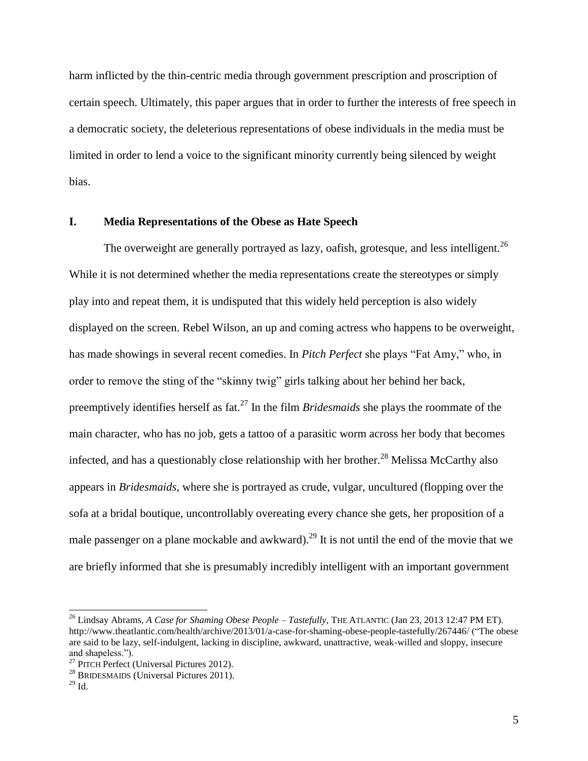harm inflicted by the thin-centric media through government prescription and proscription of certain speech. Ultimately, this paper argues that in order to further the interests of free speech in a democratic society, the deleterious representations of obese individuals in the media must be limited in order to lend a voice to the significant minority currently being silenced by weight bias.

#### **I. Media Representations of the Obese as Hate Speech**

The overweight are generally portrayed as lazy, oafish, grotesque, and less intelligent.<sup>26</sup> While it is not determined whether the media representations create the stereotypes or simply play into and repeat them, it is undisputed that this widely held perception is also widely displayed on the screen. Rebel Wilson, an up and coming actress who happens to be overweight, has made showings in several recent comedies. In *Pitch Perfect* she plays "Fat Amy," who, in order to remove the sting of the "skinny twig" girls talking about her behind her back, preemptively identifies herself as fat.<sup>27</sup> In the film *Bridesmaids* she plays the roommate of the main character, who has no job, gets a tattoo of a parasitic worm across her body that becomes infected, and has a questionably close relationship with her brother.<sup>28</sup> Melissa McCarthy also appears in *Bridesmaids*, where she is portrayed as crude, vulgar, uncultured (flopping over the sofa at a bridal boutique, uncontrollably overeating every chance she gets, her proposition of a male passenger on a plane mockable and awkward).<sup>29</sup> It is not until the end of the movie that we are briefly informed that she is presumably incredibly intelligent with an important government

<sup>26</sup> Lindsay Abrams, *A Case for Shaming Obese People – Tastefully*, THE ATLANTIC (Jan 23, 2013 12:47 PM ET). http://www.theatlantic.com/health/archive/2013/01/a-case-for-shaming-obese-people-tastefully/267446/ ("The obese are said to be lazy, self-indulgent, lacking in discipline, awkward, unattractive, weak-willed and sloppy, insecure and shapeless.").

<sup>&</sup>lt;sup>27</sup> PITCH Perfect (Universal Pictures 2012).

<sup>&</sup>lt;sup>28</sup> BRIDESMAIDS (Universal Pictures  $2011$ ).

 $^{29}$  Id.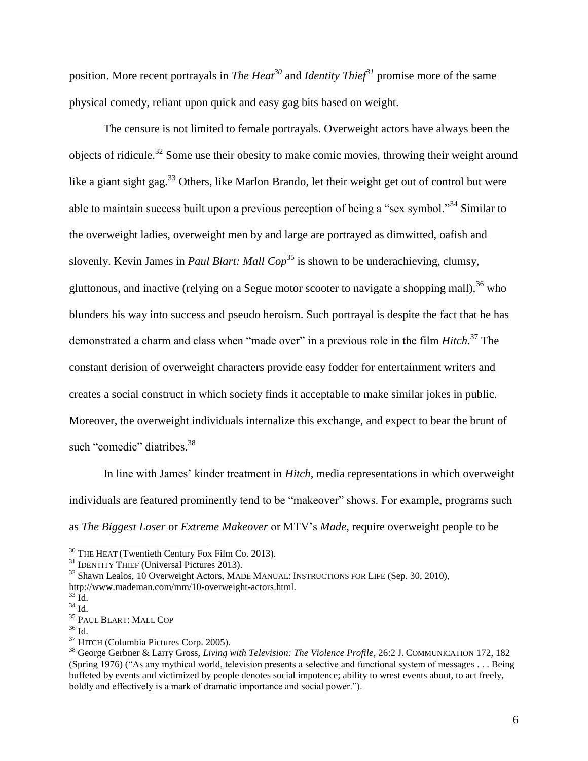position. More recent portrayals in *The Heat<sup>30</sup>* and *Identity Thief<sup>31</sup>* promise more of the same physical comedy, reliant upon quick and easy gag bits based on weight.

The censure is not limited to female portrayals. Overweight actors have always been the objects of ridicule.<sup>32</sup> Some use their obesity to make comic movies, throwing their weight around like a giant sight gag.<sup>33</sup> Others, like Marlon Brando, let their weight get out of control but were able to maintain success built upon a previous perception of being a "sex symbol."<sup>34</sup> Similar to the overweight ladies, overweight men by and large are portrayed as dimwitted, oafish and slovenly. Kevin James in *Paul Blart: Mall Cop*<sup>35</sup> is shown to be underachieving, clumsy, gluttonous, and inactive (relying on a Segue motor scooter to navigate a shopping mall),  $36$  who blunders his way into success and pseudo heroism. Such portrayal is despite the fact that he has demonstrated a charm and class when "made over" in a previous role in the film *Hitch*. <sup>37</sup> The constant derision of overweight characters provide easy fodder for entertainment writers and creates a social construct in which society finds it acceptable to make similar jokes in public. Moreover, the overweight individuals internalize this exchange, and expect to bear the brunt of such "comedic" diatribes.<sup>38</sup>

In line with James' kinder treatment in *Hitch*, media representations in which overweight individuals are featured prominently tend to be "makeover" shows. For example, programs such as *The Biggest Loser* or *Extreme Makeover* or MTV's *Made*, require overweight people to be

 $30$  THE HEAT (Twentieth Century Fox Film Co. 2013).

<sup>&</sup>lt;sup>31</sup> IDENTITY THIEF (Universal Pictures 2013).

 $32$  Shawn Lealos, 10 Overweight Actors, MADE MANUAL: INSTRUCTIONS FOR LIFE (Sep. 30, 2010), http://www.mademan.com/mm/10-overweight-actors.html.

 $33 \text{ Id.}$ 

 $34$  Id.

 $^{35}$  PAUL BLART: MALL COP

 $36$  Id.

<sup>37</sup> HITCH (Columbia Pictures Corp. 2005).

<sup>38</sup> George Gerbner & Larry Gross, *Living with Television: The Violence Profile*, 26:2 J. COMMUNICATION 172, 182 (Spring 1976) ("As any mythical world, television presents a selective and functional system of messages . . . Being buffeted by events and victimized by people denotes social impotence; ability to wrest events about, to act freely, boldly and effectively is a mark of dramatic importance and social power.").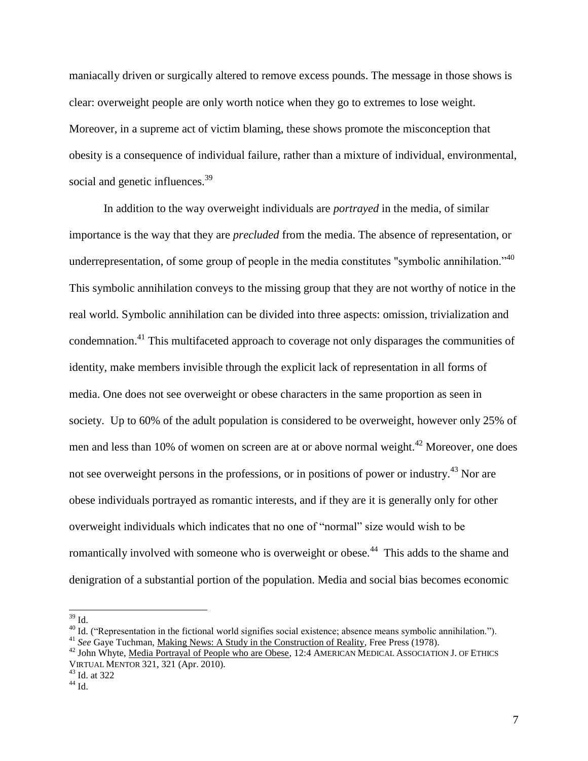maniacally driven or surgically altered to remove excess pounds. The message in those shows is clear: overweight people are only worth notice when they go to extremes to lose weight. Moreover, in a supreme act of victim blaming, these shows promote the misconception that obesity is a consequence of individual failure, rather than a mixture of individual, environmental, social and genetic influences.<sup>39</sup>

In addition to the way overweight individuals are *portrayed* in the media, of similar importance is the way that they are *precluded* from the media. The absence of representation, or underrepresentation, of some group of people in the media constitutes "symbolic annihilation."<sup>40</sup> This symbolic annihilation conveys to the missing group that they are not worthy of notice in the real world. Symbolic annihilation can be divided into three aspects: omission, trivialization and condemnation.<sup>41</sup> This multifaceted approach to coverage not only disparages the communities of identity, make members invisible through the explicit lack of representation in all forms of media. One does not see overweight or obese characters in the same proportion as seen in society. Up to 60% of the adult population is considered to be overweight, however only 25% of men and less than 10% of women on screen are at or above normal weight.<sup>42</sup> Moreover, one does not see overweight persons in the professions, or in positions of power or industry.<sup>43</sup> Nor are obese individuals portrayed as romantic interests, and if they are it is generally only for other overweight individuals which indicates that no one of "normal" size would wish to be romantically involved with someone who is overweight or obese.<sup>44</sup> This adds to the shame and denigration of a substantial portion of the population. Media and social bias becomes economic

 $39$  Id.

<sup>&</sup>lt;sup>40</sup> Id. ("Representation in the fictional world signifies social existence; absence means symbolic annihilation.").

<sup>&</sup>lt;sup>41</sup> See Gaye Tuchman, Making News: A Study in the Construction of Reality, Free Press (1978).

<sup>&</sup>lt;sup>42</sup> John Whyte, Media Portrayal of People who are Obese, 12:4 AMERICAN MEDICAL ASSOCIATION J. OF ETHICS VIRTUAL MENTOR 321, 321 (Apr. 2010).

 $43$  Id. at 322

 $44$  Id.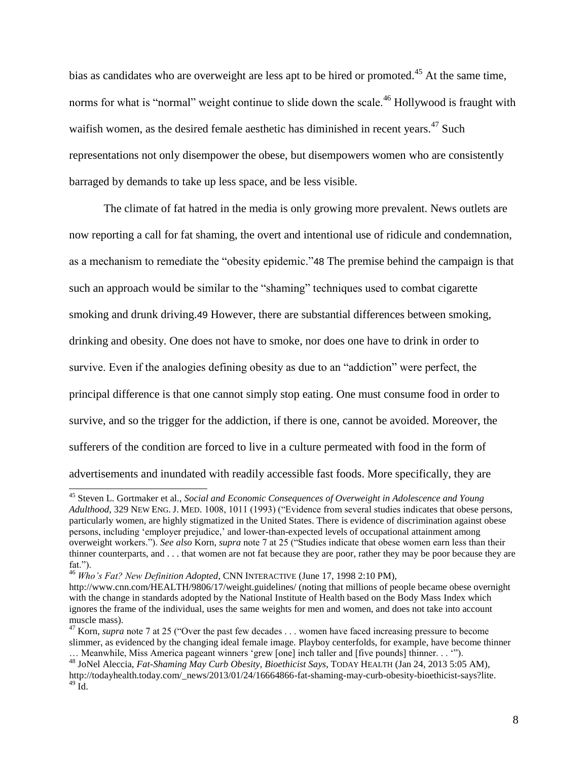bias as candidates who are overweight are less apt to be hired or promoted.<sup>45</sup> At the same time, norms for what is "normal" weight continue to slide down the scale.<sup>46</sup> Hollywood is fraught with waifish women, as the desired female aesthetic has diminished in recent years.<sup>47</sup> Such representations not only disempower the obese, but disempowers women who are consistently barraged by demands to take up less space, and be less visible.

The climate of fat hatred in the media is only growing more prevalent. News outlets are now reporting a call for fat shaming, the overt and intentional use of ridicule and condemnation, as a mechanism to remediate the "obesity epidemic."48 The premise behind the campaign is that such an approach would be similar to the "shaming" techniques used to combat cigarette smoking and drunk driving.49 However, there are substantial differences between smoking, drinking and obesity. One does not have to smoke, nor does one have to drink in order to survive. Even if the analogies defining obesity as due to an "addiction" were perfect, the principal difference is that one cannot simply stop eating. One must consume food in order to survive, and so the trigger for the addiction, if there is one, cannot be avoided. Moreover, the sufferers of the condition are forced to live in a culture permeated with food in the form of advertisements and inundated with readily accessible fast foods. More specifically, they are

<sup>45</sup> Steven L. Gortmaker et al., *Social and Economic Consequences of Overweight in Adolescence and Young Adulthood*, 329 NEW ENG. J. MED. 1008, 1011 (1993) ("Evidence from several studies indicates that obese persons, particularly women, are highly stigmatized in the United States. There is evidence of discrimination against obese persons, including 'employer prejudice,' and lower-than-expected levels of occupational attainment among overweight workers."). *See also* Korn, *supra* note 7 at 25 ("Studies indicate that obese women earn less than their thinner counterparts, and . . . that women are not fat because they are poor, rather they may be poor because they are fat.").

<sup>46</sup> *Who's Fat? New Definition Adopted*, CNN INTERACTIVE (June 17, 1998 2:10 PM),

http://www.cnn.com/HEALTH/9806/17/weight.guidelines/ (noting that millions of people became obese overnight with the change in standards adopted by the National Institute of Health based on the Body Mass Index which ignores the frame of the individual, uses the same weights for men and women, and does not take into account muscle mass).

<sup>&</sup>lt;sup>47</sup> Korn, *supra* note 7 at 25 ("Over the past few decades . . . women have faced increasing pressure to become slimmer, as evidenced by the changing ideal female image. Playboy centerfolds, for example, have become thinner … Meanwhile, Miss America pageant winners 'grew [one] inch taller and [five pounds] thinner. . . '").

<sup>48</sup> JoNel Aleccia, *Fat-Shaming May Curb Obesity, Bioethicist Says*, TODAY HEALTH (Jan 24, 2013 5:05 AM), http://todayhealth.today.com/\_news/2013/01/24/16664866-fat-shaming-may-curb-obesity-bioethicist-says?lite.  $^{49}$  Id.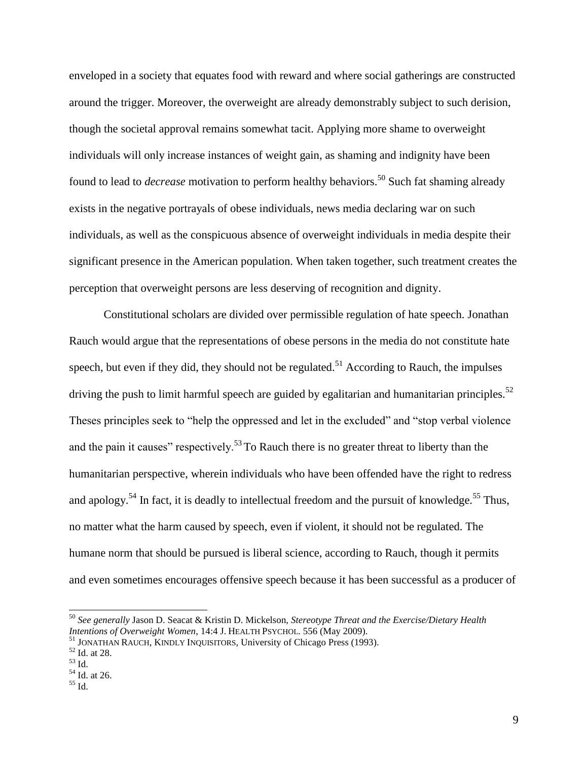enveloped in a society that equates food with reward and where social gatherings are constructed around the trigger. Moreover, the overweight are already demonstrably subject to such derision, though the societal approval remains somewhat tacit. Applying more shame to overweight individuals will only increase instances of weight gain, as shaming and indignity have been found to lead to *decrease* motivation to perform healthy behaviors.<sup>50</sup> Such fat shaming already exists in the negative portrayals of obese individuals, news media declaring war on such individuals, as well as the conspicuous absence of overweight individuals in media despite their significant presence in the American population. When taken together, such treatment creates the perception that overweight persons are less deserving of recognition and dignity.

Constitutional scholars are divided over permissible regulation of hate speech. Jonathan Rauch would argue that the representations of obese persons in the media do not constitute hate speech, but even if they did, they should not be regulated.<sup>51</sup> According to Rauch, the impulses driving the push to limit harmful speech are guided by egalitarian and humanitarian principles.<sup>52</sup> Theses principles seek to "help the oppressed and let in the excluded" and "stop verbal violence and the pain it causes" respectively.<sup>53</sup> To Rauch there is no greater threat to liberty than the humanitarian perspective, wherein individuals who have been offended have the right to redress and apology.<sup>54</sup> In fact, it is deadly to intellectual freedom and the pursuit of knowledge.<sup>55</sup> Thus, no matter what the harm caused by speech, even if violent, it should not be regulated. The humane norm that should be pursued is liberal science, according to Rauch, though it permits and even sometimes encourages offensive speech because it has been successful as a producer of

<sup>50</sup> *See generally* Jason D. Seacat & Kristin D. Mickelson, *Stereotype Threat and the Exercise/Dietary Health Intentions of Overweight Women*, 14:4 J. HEALTH PSYCHOL. 556 (May 2009).

<sup>&</sup>lt;sup>51</sup> JONATHAN RAUCH, KINDLY INQUISITORS, University of Chicago Press (1993).

 $52$  Id. at 28.

<sup>53</sup> Id.

 $54$  Id. at 26.

<sup>55</sup> Id.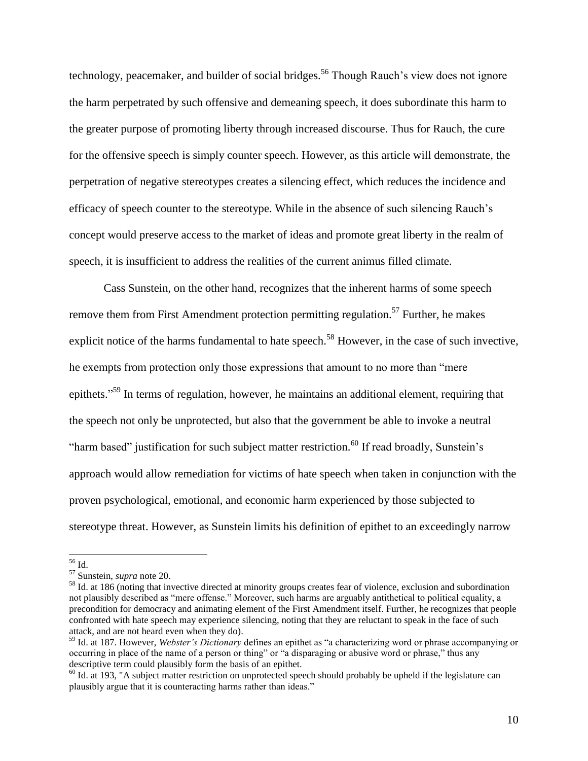technology, peacemaker, and builder of social bridges.<sup>56</sup> Though Rauch's view does not ignore the harm perpetrated by such offensive and demeaning speech, it does subordinate this harm to the greater purpose of promoting liberty through increased discourse. Thus for Rauch, the cure for the offensive speech is simply counter speech. However, as this article will demonstrate, the perpetration of negative stereotypes creates a silencing effect, which reduces the incidence and efficacy of speech counter to the stereotype. While in the absence of such silencing Rauch's concept would preserve access to the market of ideas and promote great liberty in the realm of speech, it is insufficient to address the realities of the current animus filled climate.

Cass Sunstein, on the other hand, recognizes that the inherent harms of some speech remove them from First Amendment protection permitting regulation.<sup>57</sup> Further, he makes explicit notice of the harms fundamental to hate speech.<sup>58</sup> However, in the case of such invective, he exempts from protection only those expressions that amount to no more than "mere epithets."<sup>59</sup> In terms of regulation, however, he maintains an additional element, requiring that the speech not only be unprotected, but also that the government be able to invoke a neutral "harm based" justification for such subject matter restriction.<sup>60</sup> If read broadly, Sunstein's approach would allow remediation for victims of hate speech when taken in conjunction with the proven psychological, emotional, and economic harm experienced by those subjected to stereotype threat. However, as Sunstein limits his definition of epithet to an exceedingly narrow

<sup>56</sup> Id.

<sup>57</sup> Sunstein, *supra* note 20.

<sup>&</sup>lt;sup>58</sup> Id. at 186 (noting that invective directed at minority groups creates fear of violence, exclusion and subordination not plausibly described as "mere offense." Moreover, such harms are arguably antithetical to political equality, a precondition for democracy and animating element of the First Amendment itself. Further, he recognizes that people confronted with hate speech may experience silencing, noting that they are reluctant to speak in the face of such attack, and are not heard even when they do).

<sup>59</sup> Id. at 187. However, *Webster's Dictionary* defines an epithet as "a characterizing word or phrase accompanying or occurring in place of the name of a person or thing" or "a disparaging or abusive word or phrase," thus any descriptive term could plausibly form the basis of an epithet.

 $60$  Id. at 193, "A subject matter restriction on unprotected speech should probably be upheld if the legislature can plausibly argue that it is counteracting harms rather than ideas."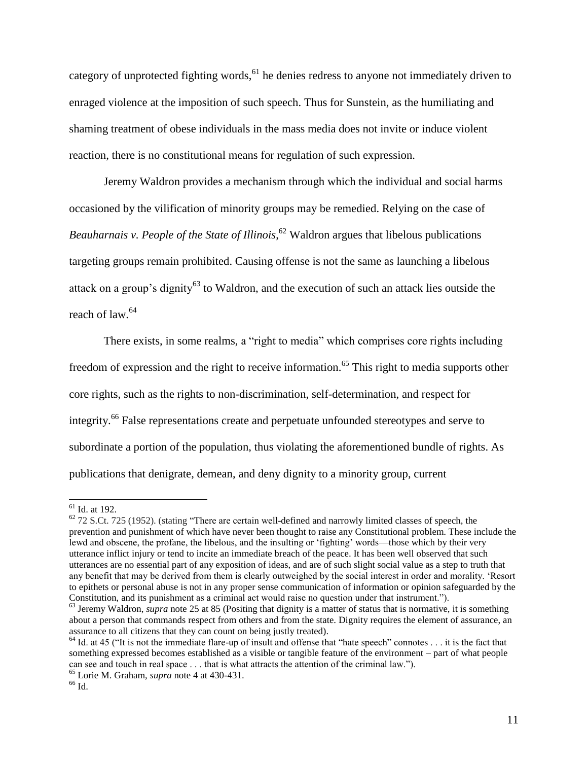category of unprotected fighting words,  $61$  he denies redress to anyone not immediately driven to enraged violence at the imposition of such speech. Thus for Sunstein, as the humiliating and shaming treatment of obese individuals in the mass media does not invite or induce violent reaction, there is no constitutional means for regulation of such expression.

Jeremy Waldron provides a mechanism through which the individual and social harms occasioned by the vilification of minority groups may be remedied. Relying on the case of *Beauharnais v. People of the State of Illinois*, <sup>62</sup> Waldron argues that libelous publications targeting groups remain prohibited. Causing offense is not the same as launching a libelous attack on a group's dignity<sup>63</sup> to Waldron, and the execution of such an attack lies outside the reach of law.<sup>64</sup>

There exists, in some realms, a "right to media" which comprises core rights including freedom of expression and the right to receive information.<sup>65</sup> This right to media supports other core rights, such as the rights to non-discrimination, self-determination, and respect for integrity.<sup>66</sup> False representations create and perpetuate unfounded stereotypes and serve to subordinate a portion of the population, thus violating the aforementioned bundle of rights. As publications that denigrate, demean, and deny dignity to a minority group, current

 $<sup>61</sup>$  Id. at 192.</sup>

 $62$  72 S.Ct. 725 (1952). (stating "There are certain well-defined and narrowly limited classes of speech, the prevention and punishment of which have never been thought to raise any Constitutional problem. These include the lewd and obscene, the profane, the libelous, and the insulting or 'fighting' words—those which by their very utterance inflict injury or tend to incite an immediate breach of the peace. It has been well observed that such utterances are no essential part of any exposition of ideas, and are of such slight social value as a step to truth that any benefit that may be derived from them is clearly outweighed by the social interest in order and morality. 'Resort to epithets or personal abuse is not in any proper sense communication of information or opinion safeguarded by the Constitution, and its punishment as a criminal act would raise no question under that instrument.").

<sup>&</sup>lt;sup>63</sup> Jeremy Waldron, *supra* note 25 at 85 (Positing that dignity is a matter of status that is normative, it is something about a person that commands respect from others and from the state. Dignity requires the element of assurance, an assurance to all citizens that they can count on being justly treated).

 $64$  Id. at 45 ("It is not the immediate flare-up of insult and offense that "hate speech" connotes . . . it is the fact that something expressed becomes established as a visible or tangible feature of the environment – part of what people can see and touch in real space . . . that is what attracts the attention of the criminal law.").

<sup>65</sup> Lorie M. Graham, *supra* note 4 at 430-431.

 $^{66}$  Id.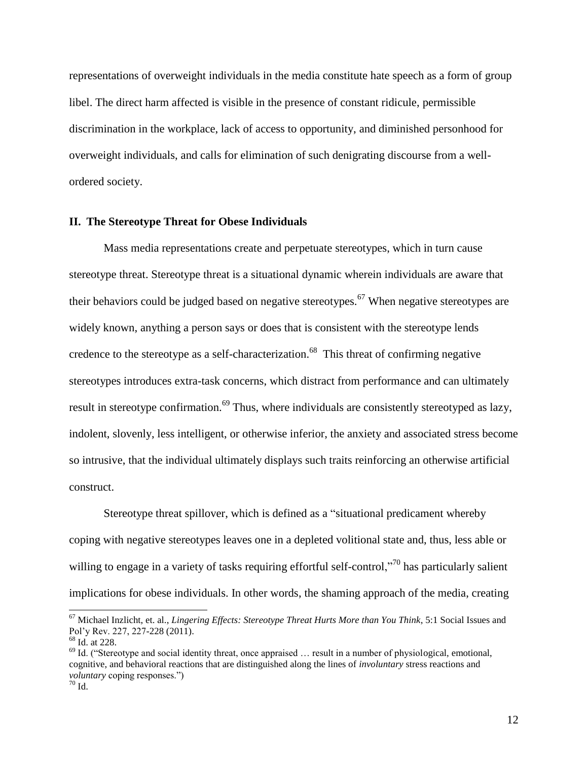representations of overweight individuals in the media constitute hate speech as a form of group libel. The direct harm affected is visible in the presence of constant ridicule, permissible discrimination in the workplace, lack of access to opportunity, and diminished personhood for overweight individuals, and calls for elimination of such denigrating discourse from a wellordered society.

#### **II. The Stereotype Threat for Obese Individuals**

Mass media representations create and perpetuate stereotypes, which in turn cause stereotype threat. Stereotype threat is a situational dynamic wherein individuals are aware that their behaviors could be judged based on negative stereotypes.<sup>67</sup> When negative stereotypes are widely known, anything a person says or does that is consistent with the stereotype lends credence to the stereotype as a self-characterization.<sup>68</sup> This threat of confirming negative stereotypes introduces extra-task concerns, which distract from performance and can ultimately result in stereotype confirmation.<sup>69</sup> Thus, where individuals are consistently stereotyped as lazy, indolent, slovenly, less intelligent, or otherwise inferior, the anxiety and associated stress become so intrusive, that the individual ultimately displays such traits reinforcing an otherwise artificial construct.

Stereotype threat spillover, which is defined as a "situational predicament whereby coping with negative stereotypes leaves one in a depleted volitional state and, thus, less able or willing to engage in a variety of tasks requiring effortful self-control,"<sup>70</sup> has particularly salient implications for obese individuals. In other words, the shaming approach of the media, creating

<sup>67</sup> Michael Inzlicht, et. al., *Lingering Effects: Stereotype Threat Hurts More than You Think*, 5:1 Social Issues and Pol'y Rev. 227, 227-228 (2011).

<sup>68</sup> Id. at 228.

 $^{69}$  Id. ("Stereotype and social identity threat, once appraised  $\ldots$  result in a number of physiological, emotional, cognitive, and behavioral reactions that are distinguished along the lines of *involuntary* stress reactions and *voluntary* coping responses.")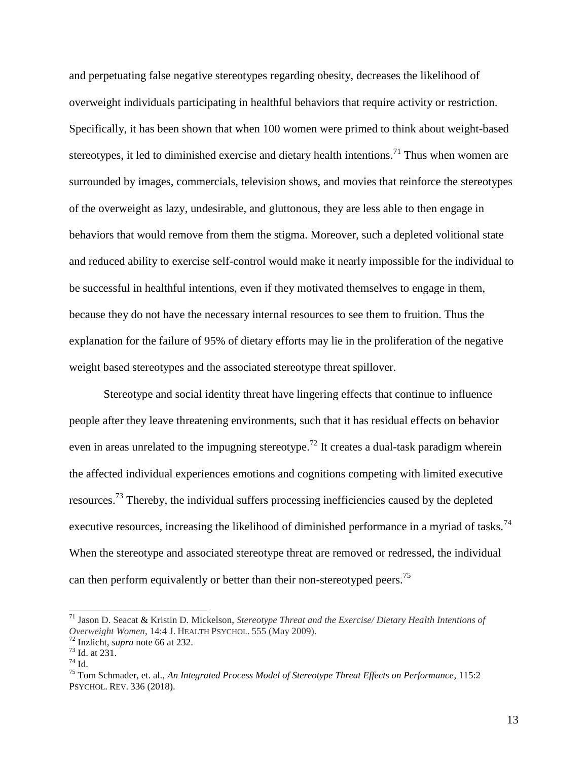and perpetuating false negative stereotypes regarding obesity, decreases the likelihood of overweight individuals participating in healthful behaviors that require activity or restriction. Specifically, it has been shown that when 100 women were primed to think about weight-based stereotypes, it led to diminished exercise and dietary health intentions.<sup>71</sup> Thus when women are surrounded by images, commercials, television shows, and movies that reinforce the stereotypes of the overweight as lazy, undesirable, and gluttonous, they are less able to then engage in behaviors that would remove from them the stigma. Moreover, such a depleted volitional state and reduced ability to exercise self-control would make it nearly impossible for the individual to be successful in healthful intentions, even if they motivated themselves to engage in them, because they do not have the necessary internal resources to see them to fruition. Thus the explanation for the failure of 95% of dietary efforts may lie in the proliferation of the negative weight based stereotypes and the associated stereotype threat spillover.

Stereotype and social identity threat have lingering effects that continue to influence people after they leave threatening environments, such that it has residual effects on behavior even in areas unrelated to the impugning stereotype.<sup>72</sup> It creates a dual-task paradigm wherein the affected individual experiences emotions and cognitions competing with limited executive resources.<sup>73</sup> Thereby, the individual suffers processing inefficiencies caused by the depleted executive resources, increasing the likelihood of diminished performance in a myriad of tasks.<sup>74</sup> When the stereotype and associated stereotype threat are removed or redressed, the individual can then perform equivalently or better than their non-stereotyped peers.<sup>75</sup>

<sup>71</sup> Jason D. Seacat & Kristin D. Mickelson, *Stereotype Threat and the Exercise/ Dietary Health Intentions of Overweight Women*, 14:4 J. HEALTH PSYCHOL. 555 (May 2009).

<sup>72</sup> Inzlicht, *supra* note 66 at 232.

<sup>73</sup> Id. at 231.

<sup>74</sup> Id.

<sup>75</sup> Tom Schmader, et. al., *An Integrated Process Model of Stereotype Threat Effects on Performance*, 115:2 PSYCHOL. REV. 336 (2018).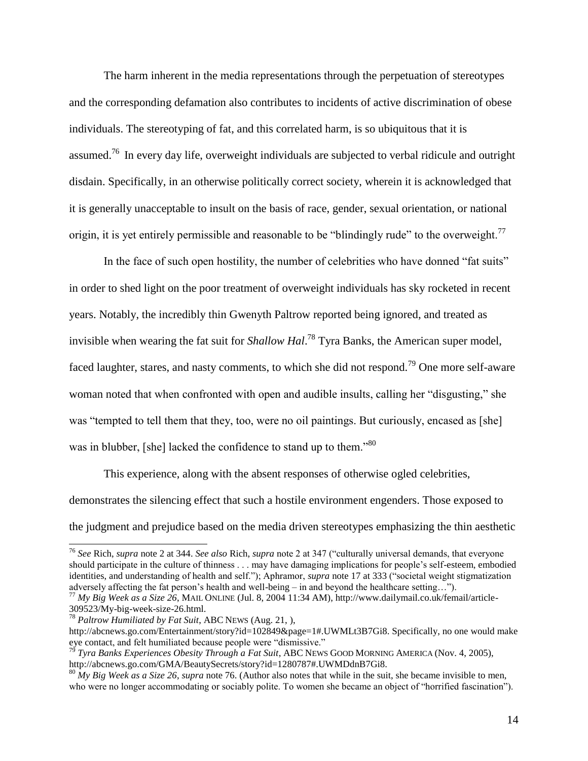The harm inherent in the media representations through the perpetuation of stereotypes and the corresponding defamation also contributes to incidents of active discrimination of obese individuals. The stereotyping of fat, and this correlated harm, is so ubiquitous that it is assumed.<sup>76</sup> In every day life, overweight individuals are subjected to verbal ridicule and outright disdain. Specifically, in an otherwise politically correct society, wherein it is acknowledged that it is generally unacceptable to insult on the basis of race, gender, sexual orientation, or national origin, it is yet entirely permissible and reasonable to be "blindingly rude" to the overweight.<sup>77</sup>

In the face of such open hostility, the number of celebrities who have donned "fat suits" in order to shed light on the poor treatment of overweight individuals has sky rocketed in recent years. Notably, the incredibly thin Gwenyth Paltrow reported being ignored, and treated as invisible when wearing the fat suit for *Shallow Hal*. <sup>78</sup> Tyra Banks, the American super model, faced laughter, stares, and nasty comments, to which she did not respond.<sup>79</sup> One more self-aware woman noted that when confronted with open and audible insults, calling her "disgusting," she was "tempted to tell them that they, too, were no oil paintings. But curiously, encased as [she] was in blubber, [she] lacked the confidence to stand up to them."<sup>80</sup>

This experience, along with the absent responses of otherwise ogled celebrities, demonstrates the silencing effect that such a hostile environment engenders. Those exposed to the judgment and prejudice based on the media driven stereotypes emphasizing the thin aesthetic

<sup>76</sup> *See* Rich, *supra* note 2 at 344. *See also* Rich, *supra* note 2 at 347 ("culturally universal demands, that everyone should participate in the culture of thinness . . . may have damaging implications for people's self-esteem, embodied identities, and understanding of health and self."); Aphramor, *supra* note 17 at 333 ("societal weight stigmatization adversely affecting the fat person's health and well-being – in and beyond the healthcare setting…").

<sup>77</sup> *My Big Week as a Size 26*, MAIL ONLINE (Jul. 8, 2004 11:34 AM), http://www.dailymail.co.uk/femail/article-309523/My-big-week-size-26.html.

<sup>78</sup> *Paltrow Humiliated by Fat Suit*, ABC NEWS (Aug. 21, ),

http://abcnews.go.com/Entertainment/story?id=102849&page=1#.UWMLt3B7Gi8. Specifically, no one would make eye contact, and felt humiliated because people were "dismissive."

<sup>79</sup> *Tyra Banks Experiences Obesity Through a Fat Suit*, ABC NEWS GOOD MORNING AMERICA (Nov. 4, 2005), http://abcnews.go.com/GMA/BeautySecrets/story?id=1280787#.UWMDdnB7Gi8.

 $80$   $My$  Big Week as a Size 26, supra note 76. (Author also notes that while in the suit, she became invisible to men, who were no longer accommodating or sociably polite. To women she became an object of "horrified fascination").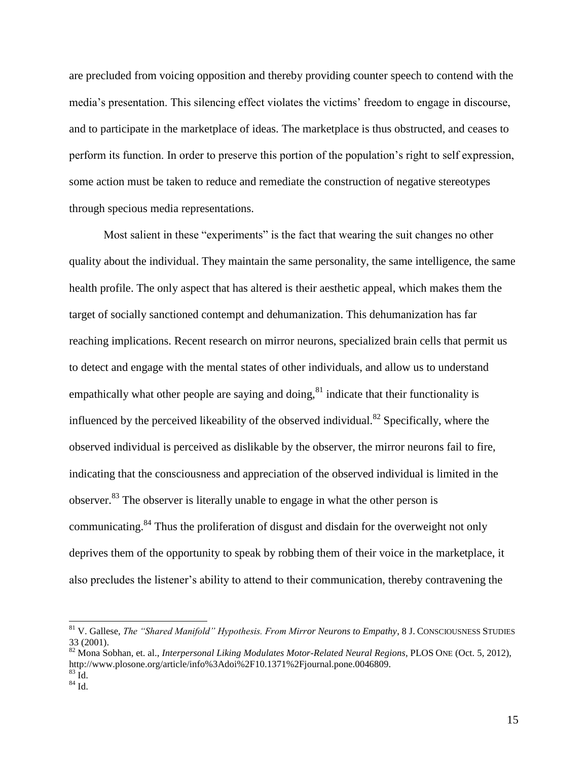are precluded from voicing opposition and thereby providing counter speech to contend with the media's presentation. This silencing effect violates the victims' freedom to engage in discourse, and to participate in the marketplace of ideas. The marketplace is thus obstructed, and ceases to perform its function. In order to preserve this portion of the population's right to self expression, some action must be taken to reduce and remediate the construction of negative stereotypes through specious media representations.

Most salient in these "experiments" is the fact that wearing the suit changes no other quality about the individual. They maintain the same personality, the same intelligence, the same health profile. The only aspect that has altered is their aesthetic appeal, which makes them the target of socially sanctioned contempt and dehumanization. This dehumanization has far reaching implications. Recent research on mirror neurons, specialized brain cells that permit us to detect and engage with the mental states of other individuals, and allow us to understand empathically what other people are saying and doing, $81$  indicate that their functionality is influenced by the perceived likeability of the observed individual.<sup>82</sup> Specifically, where the observed individual is perceived as dislikable by the observer, the mirror neurons fail to fire, indicating that the consciousness and appreciation of the observed individual is limited in the observer.<sup>83</sup> The observer is literally unable to engage in what the other person is communicating.<sup>84</sup> Thus the proliferation of disgust and disdain for the overweight not only deprives them of the opportunity to speak by robbing them of their voice in the marketplace, it also precludes the listener's ability to attend to their communication, thereby contravening the

<sup>81</sup> V. Gallese, *The "Shared Manifold" Hypothesis. From Mirror Neurons to Empathy*, 8 J. CONSCIOUSNESS STUDIES 33 (2001).

<sup>82</sup> Mona Sobhan, et. al., *Interpersonal Liking Modulates Motor-Related Neural Regions*, PLOS ONE (Oct. 5, 2012), http://www.plosone.org/article/info%3Adoi%2F10.1371%2Fjournal.pone.0046809.  $83 \text{ Id.}$ 

<sup>84</sup> Id.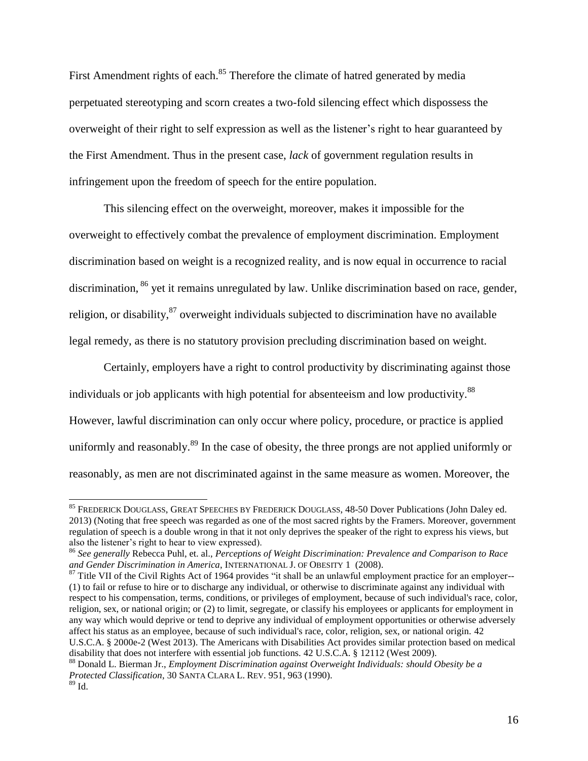First Amendment rights of each.<sup>85</sup> Therefore the climate of hatred generated by media perpetuated stereotyping and scorn creates a two-fold silencing effect which dispossess the overweight of their right to self expression as well as the listener's right to hear guaranteed by the First Amendment. Thus in the present case, *lack* of government regulation results in infringement upon the freedom of speech for the entire population.

This silencing effect on the overweight, moreover, makes it impossible for the overweight to effectively combat the prevalence of employment discrimination. Employment discrimination based on weight is a recognized reality, and is now equal in occurrence to racial discrimination, <sup>86</sup> yet it remains unregulated by law. Unlike discrimination based on race, gender, religion, or disability, <sup>87</sup> overweight individuals subjected to discrimination have no available legal remedy, as there is no statutory provision precluding discrimination based on weight.

Certainly, employers have a right to control productivity by discriminating against those individuals or job applicants with high potential for absenteeism and low productivity.<sup>88</sup> However, lawful discrimination can only occur where policy, procedure, or practice is applied uniformly and reasonably.<sup>89</sup> In the case of obesity, the three prongs are not applied uniformly or reasonably, as men are not discriminated against in the same measure as women. Moreover, the

<sup>&</sup>lt;sup>85</sup> FREDERICK DOUGLASS, GREAT SPEECHES BY FREDERICK DOUGLASS, 48-50 Dover Publications (John Daley ed. 2013) (Noting that free speech was regarded as one of the most sacred rights by the Framers. Moreover, government regulation of speech is a double wrong in that it not only deprives the speaker of the right to express his views, but also the listener's right to hear to view expressed).

<sup>86</sup> *See generally* Rebecca Puhl, et. al., *Perceptions of Weight Discrimination: Prevalence and Comparison to Race and Gender Discrimination in America*, INTERNATIONAL J. OF OBESITY 1 (2008).

<sup>&</sup>lt;sup>87</sup> Title VII of the Civil Rights Act of 1964 provides "it shall be an unlawful employment practice for an employer--(1) to fail or refuse to hire or to discharge any individual, or otherwise to discriminate against any individual with respect to his compensation, terms, conditions, or privileges of employment, because of such individual's race, color, religion, sex, or national origin; or (2) to limit, segregate, or classify his employees or applicants for employment in any way which would deprive or tend to deprive any individual of employment opportunities or otherwise adversely affect his status as an employee, because of such individual's race, color, religion, sex, or national origin. 42 U.S.C.A. § 2000e-2 (West 2013). The Americans with Disabilities Act provides similar protection based on medical disability that does not interfere with essential job functions. 42 U.S.C.A. § 12112 (West 2009).

<sup>88</sup> Donald L. Bierman Jr., *Employment Discrimination against Overweight Individuals: should Obesity be a Protected Classification*, 30 SANTA CLARA L. REV. 951, 963 (1990).  $89$  Id.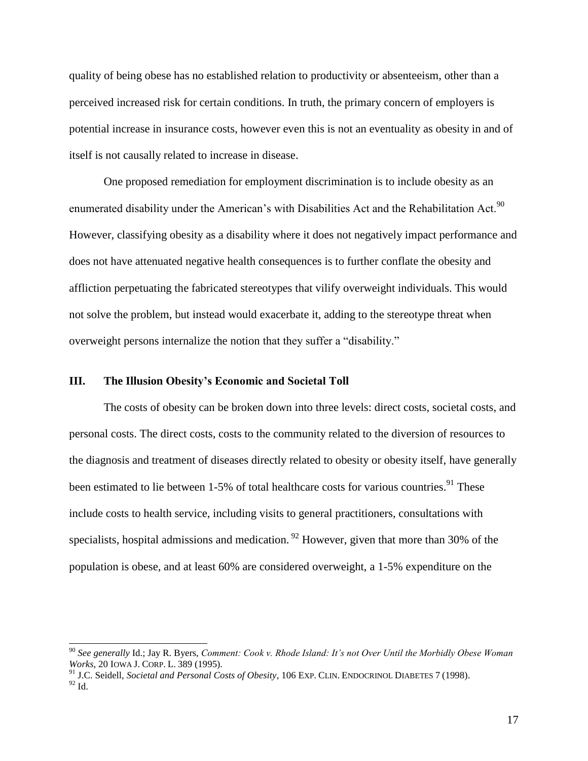quality of being obese has no established relation to productivity or absenteeism, other than a perceived increased risk for certain conditions. In truth, the primary concern of employers is potential increase in insurance costs, however even this is not an eventuality as obesity in and of itself is not causally related to increase in disease.

One proposed remediation for employment discrimination is to include obesity as an enumerated disability under the American's with Disabilities Act and the Rehabilitation Act.<sup>90</sup> However, classifying obesity as a disability where it does not negatively impact performance and does not have attenuated negative health consequences is to further conflate the obesity and affliction perpetuating the fabricated stereotypes that vilify overweight individuals. This would not solve the problem, but instead would exacerbate it, adding to the stereotype threat when overweight persons internalize the notion that they suffer a "disability."

#### **III. The Illusion Obesity's Economic and Societal Toll**

l

The costs of obesity can be broken down into three levels: direct costs, societal costs, and personal costs. The direct costs, costs to the community related to the diversion of resources to the diagnosis and treatment of diseases directly related to obesity or obesity itself, have generally been estimated to lie between 1-5% of total healthcare costs for various countries.<sup>91</sup> These include costs to health service, including visits to general practitioners, consultations with specialists, hospital admissions and medication.  $92$  However, given that more than 30% of the population is obese, and at least 60% are considered overweight, a 1-5% expenditure on the

<sup>90</sup> *See generally* Id.; Jay R. Byers, *Comment: Cook v. Rhode Island: It's not Over Until the Morbidly Obese Woman Works*, 20 IOWA J. CORP. L. 389 (1995).

<sup>91</sup> J.C. Seidell, *Societal and Personal Costs of Obesity*, 106 EXP. CLIN. ENDOCRINOL DIABETES 7 (1998).  $^{92}$  Id.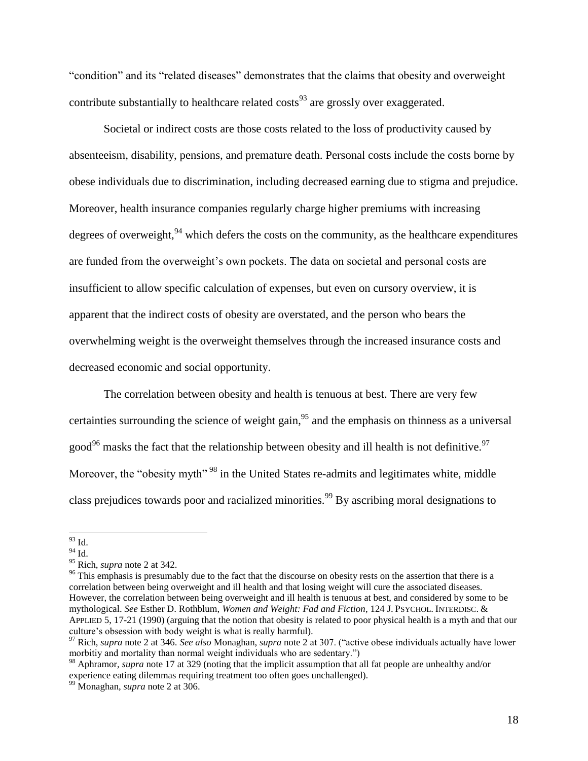"condition" and its "related diseases" demonstrates that the claims that obesity and overweight contribute substantially to healthcare related  $\cos$ <sup>93</sup> are grossly over exaggerated.

Societal or indirect costs are those costs related to the loss of productivity caused by absenteeism, disability, pensions, and premature death. Personal costs include the costs borne by obese individuals due to discrimination, including decreased earning due to stigma and prejudice. Moreover, health insurance companies regularly charge higher premiums with increasing degrees of overweight,  $94$  which defers the costs on the community, as the healthcare expenditures are funded from the overweight's own pockets. The data on societal and personal costs are insufficient to allow specific calculation of expenses, but even on cursory overview, it is apparent that the indirect costs of obesity are overstated, and the person who bears the overwhelming weight is the overweight themselves through the increased insurance costs and decreased economic and social opportunity.

The correlation between obesity and health is tenuous at best. There are very few certainties surrounding the science of weight gain,  $95$  and the emphasis on thinness as a universal good<sup>96</sup> masks the fact that the relationship between obesity and ill health is not definitive.<sup>97</sup> Moreover, the "obesity myth"<sup>98</sup> in the United States re-admits and legitimates white, middle class prejudices towards poor and racialized minorities.<sup>99</sup> By ascribing moral designations to

l  $93$  Id.

 $94$  Id.

<sup>95</sup> Rich, *supra* note 2 at 342.

<sup>&</sup>lt;sup>96</sup> This emphasis is presumably due to the fact that the discourse on obesity rests on the assertion that there is a correlation between being overweight and ill health and that losing weight will cure the associated diseases. However, the correlation between being overweight and ill health is tenuous at best, and considered by some to be mythological. *See* Esther D. Rothblum, *Women and Weight: Fad and Fiction*, 124 J. PSYCHOL. INTERDISC. & APPLIED 5, 17-21 (1990) (arguing that the notion that obesity is related to poor physical health is a myth and that our culture's obsession with body weight is what is really harmful).

<sup>97</sup> Rich, *supra* note 2 at 346. *See also* Monaghan, *supra* note 2 at 307. ("active obese individuals actually have lower morbitiy and mortality than normal weight individuals who are sedentary.")

<sup>98</sup> Aphramor, *supra* note 17 at 329 (noting that the implicit assumption that all fat people are unhealthy and/or experience eating dilemmas requiring treatment too often goes unchallenged).

<sup>99</sup> Monaghan, *supra* note 2 at 306.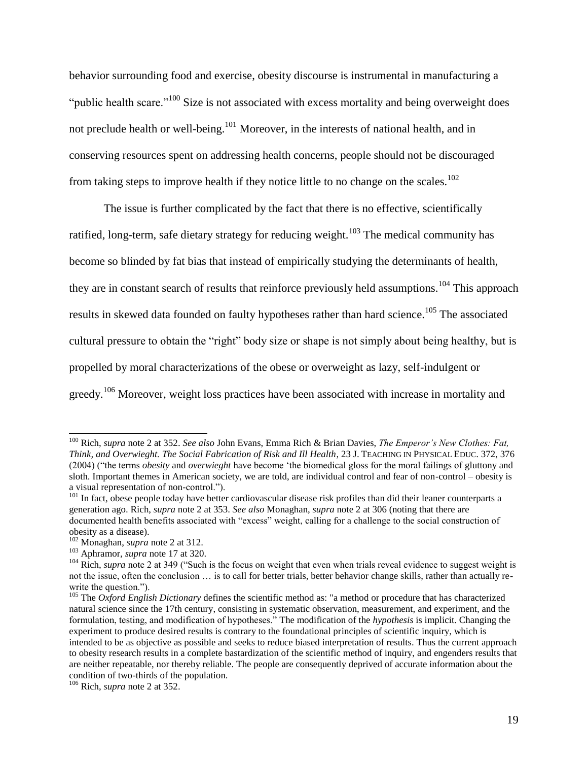behavior surrounding food and exercise, obesity discourse is instrumental in manufacturing a "public health scare."<sup>100</sup> Size is not associated with excess mortality and being overweight does not preclude health or well-being.<sup>101</sup> Moreover, in the interests of national health, and in conserving resources spent on addressing health concerns, people should not be discouraged from taking steps to improve health if they notice little to no change on the scales.<sup>102</sup>

The issue is further complicated by the fact that there is no effective, scientifically ratified, long-term, safe dietary strategy for reducing weight.<sup>103</sup> The medical community has become so blinded by fat bias that instead of empirically studying the determinants of health, they are in constant search of results that reinforce previously held assumptions.<sup>104</sup> This approach results in skewed data founded on faulty hypotheses rather than hard science.<sup>105</sup> The associated cultural pressure to obtain the "right" body size or shape is not simply about being healthy, but is propelled by moral characterizations of the obese or overweight as lazy, self-indulgent or greedy.<sup>106</sup> Moreover, weight loss practices have been associated with increase in mortality and

<sup>100</sup> Rich, *supra* note 2 at 352. *See also* John Evans, Emma Rich & Brian Davies, *The Emperor's New Clothes: Fat, Think, and Overwieght. The Social Fabrication of Risk and Ill Health*, 23 J. TEACHING IN PHYSICAL EDUC. 372, 376 (2004) ("the terms *obesity* and *overwieght* have become 'the biomedical gloss for the moral failings of gluttony and sloth. Important themes in American society, we are told, are individual control and fear of non-control – obesity is a visual representation of non-control.").

<sup>&</sup>lt;sup>101</sup> In fact, obese people today have better cardiovascular disease risk profiles than did their leaner counterparts a generation ago. Rich, *supra* note 2 at 353. *See also* Monaghan, *supra* note 2 at 306 (noting that there are documented health benefits associated with "excess" weight, calling for a challenge to the social construction of obesity as a disease).

<sup>102</sup> Monaghan, *supra* note 2 at 312.

<sup>103</sup> Aphramor, *supra* note 17 at 320.

<sup>&</sup>lt;sup>104</sup> Rich, *supra* note 2 at 349 ("Such is the focus on weight that even when trials reveal evidence to suggest weight is not the issue, often the conclusion … is to call for better trials, better behavior change skills, rather than actually rewrite the question.").

<sup>&</sup>lt;sup>105</sup> The *Oxford English Dictionary* defines the scientific method as: "a method or procedure that has characterized natural science since the 17th century, consisting in systematic observation, measurement, and experiment, and the formulation, testing, and modification of hypotheses." The modification of the *hypothesis* is implicit. Changing the experiment to produce desired results is contrary to the foundational principles of scientific inquiry, which is intended to be as objective as possible and seeks to reduce biased interpretation of results. Thus the current approach to obesity research results in a complete bastardization of the scientific method of inquiry, and engenders results that are neither repeatable, nor thereby reliable. The people are consequently deprived of accurate information about the condition of two-thirds of the population.

<sup>106</sup> Rich, *supra* note 2 at 352.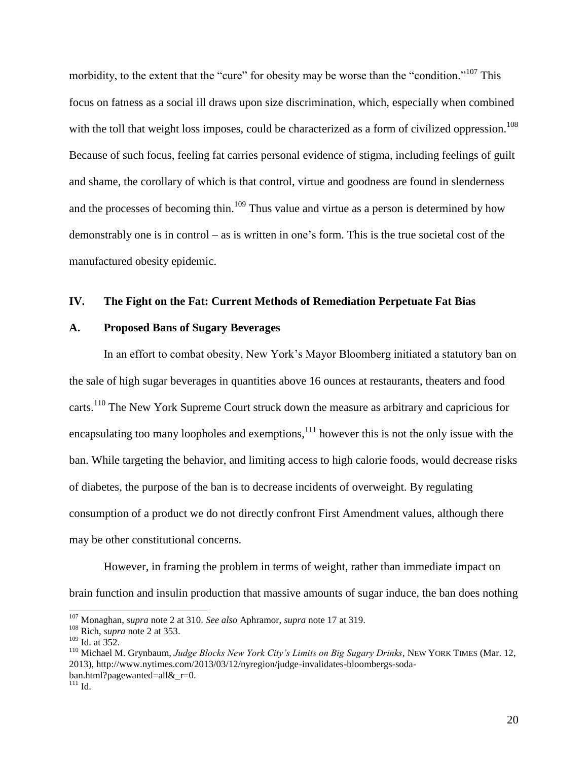morbidity, to the extent that the "cure" for obesity may be worse than the "condition."<sup>107</sup> This focus on fatness as a social ill draws upon size discrimination, which, especially when combined with the toll that weight loss imposes, could be characterized as a form of civilized oppression.<sup>108</sup> Because of such focus, feeling fat carries personal evidence of stigma, including feelings of guilt and shame, the corollary of which is that control, virtue and goodness are found in slenderness and the processes of becoming thin.<sup>109</sup> Thus value and virtue as a person is determined by how demonstrably one is in control – as is written in one's form. This is the true societal cost of the manufactured obesity epidemic.

#### **IV. The Fight on the Fat: Current Methods of Remediation Perpetuate Fat Bias**

#### **A. Proposed Bans of Sugary Beverages**

In an effort to combat obesity, New York's Mayor Bloomberg initiated a statutory ban on the sale of high sugar beverages in quantities above 16 ounces at restaurants, theaters and food carts.<sup>110</sup> The New York Supreme Court struck down the measure as arbitrary and capricious for encapsulating too many loopholes and exemptions, $^{111}$  however this is not the only issue with the ban. While targeting the behavior, and limiting access to high calorie foods, would decrease risks of diabetes, the purpose of the ban is to decrease incidents of overweight. By regulating consumption of a product we do not directly confront First Amendment values, although there may be other constitutional concerns.

However, in framing the problem in terms of weight, rather than immediate impact on brain function and insulin production that massive amounts of sugar induce, the ban does nothing

<sup>107</sup> Monaghan, *supra* note 2 at 310. *See also* Aphramor, *supra* note 17 at 319.

<sup>108</sup> Rich, *supra* note 2 at 353.

 $109$  Id. at 352.

<sup>110</sup> Michael M. Grynbaum, *Judge Blocks New York City's Limits on Big Sugary Drinks*, NEW YORK TIMES (Mar. 12, 2013), http://www.nytimes.com/2013/03/12/nyregion/judge-invalidates-bloombergs-sodaban.html?pagewanted=all $&$ r=0.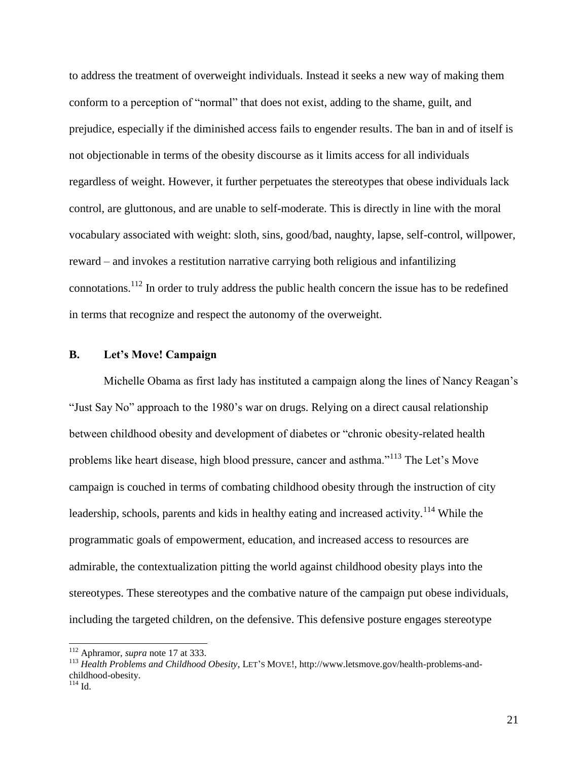to address the treatment of overweight individuals. Instead it seeks a new way of making them conform to a perception of "normal" that does not exist, adding to the shame, guilt, and prejudice, especially if the diminished access fails to engender results. The ban in and of itself is not objectionable in terms of the obesity discourse as it limits access for all individuals regardless of weight. However, it further perpetuates the stereotypes that obese individuals lack control, are gluttonous, and are unable to self-moderate. This is directly in line with the moral vocabulary associated with weight: sloth, sins, good/bad, naughty, lapse, self-control, willpower, reward – and invokes a restitution narrative carrying both religious and infantilizing connotations.<sup>112</sup> In order to truly address the public health concern the issue has to be redefined in terms that recognize and respect the autonomy of the overweight.

# **B. Let's Move! Campaign**

Michelle Obama as first lady has instituted a campaign along the lines of Nancy Reagan's "Just Say No" approach to the 1980's war on drugs. Relying on a direct causal relationship between childhood obesity and development of diabetes or "chronic obesity-related health problems like heart disease, high blood pressure, cancer and asthma."<sup>113</sup> The Let's Move campaign is couched in terms of combating childhood obesity through the instruction of city leadership, schools, parents and kids in healthy eating and increased activity.<sup>114</sup> While the programmatic goals of empowerment, education, and increased access to resources are admirable, the contextualization pitting the world against childhood obesity plays into the stereotypes. These stereotypes and the combative nature of the campaign put obese individuals, including the targeted children, on the defensive. This defensive posture engages stereotype

<sup>112</sup> Aphramor, *supra* note 17 at 333.

<sup>113</sup> *Health Problems and Childhood Obesity*, LET'S MOVE!, http://www.letsmove.gov/health-problems-andchildhood-obesity.

 $114$  Id.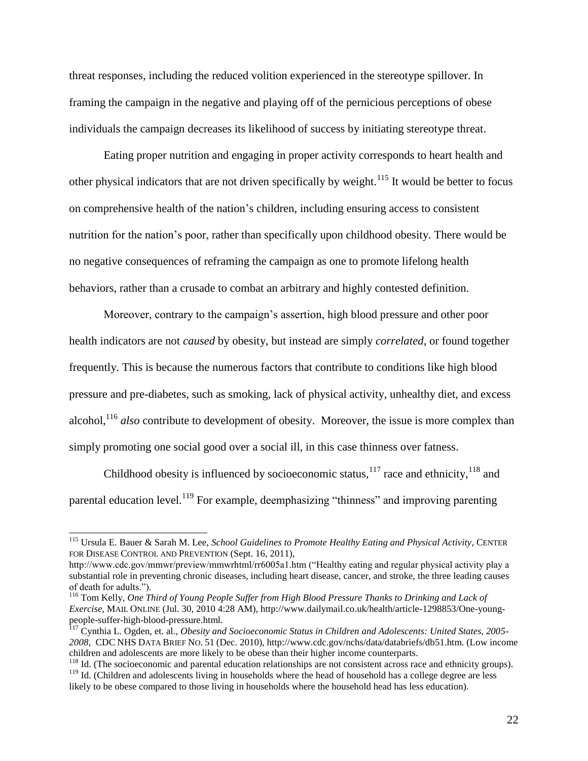threat responses, including the reduced volition experienced in the stereotype spillover. In framing the campaign in the negative and playing off of the pernicious perceptions of obese individuals the campaign decreases its likelihood of success by initiating stereotype threat.

Eating proper nutrition and engaging in proper activity corresponds to heart health and other physical indicators that are not driven specifically by weight.<sup>115</sup> It would be better to focus on comprehensive health of the nation's children, including ensuring access to consistent nutrition for the nation's poor, rather than specifically upon childhood obesity. There would be no negative consequences of reframing the campaign as one to promote lifelong health behaviors, rather than a crusade to combat an arbitrary and highly contested definition.

Moreover, contrary to the campaign's assertion, high blood pressure and other poor health indicators are not *caused* by obesity, but instead are simply *correlated*, or found together frequently. This is because the numerous factors that contribute to conditions like high blood pressure and pre-diabetes, such as smoking, lack of physical activity, unhealthy diet, and excess alcohol,<sup>116</sup> *also* contribute to development of obesity. Moreover, the issue is more complex than simply promoting one social good over a social ill, in this case thinness over fatness.

Childhood obesity is influenced by socioeconomic status, $117$  race and ethnicity, $118$  and parental education level.<sup>119</sup> For example, deemphasizing "thinness" and improving parenting

<sup>115</sup> Ursula E. Bauer & Sarah M. Lee, *School Guidelines to Promote Healthy Eating and Physical Activity*, CENTER FOR DISEASE CONTROL AND PREVENTION (Sept. 16, 2011),

http://www.cdc.gov/mmwr/preview/mmwrhtml/rr6005a1.htm ("Healthy eating and regular physical activity play a substantial role in preventing chronic diseases, including heart disease, cancer, and stroke, the three leading causes of death for adults.").

<sup>116</sup> Tom Kelly, *One Third of Young People Suffer from High Blood Pressure Thanks to Drinking and Lack of Exercise*, MAIL ONLINE (Jul. 30, 2010 4:28 AM), http://www.dailymail.co.uk/health/article-1298853/One-youngpeople-suffer-high-blood-pressure.html.

<sup>117</sup> Cynthia L. Ogden, et. al., *Obesity and Socioeconomic Status in Children and Adolescents: United States, 2005- 2008*, CDC NHS DATA BRIEF NO. 51 (Dec. 2010), http://www.cdc.gov/nchs/data/databriefs/db51.htm. (Low income children and adolescents are more likely to be obese than their higher income counterparts.

<sup>&</sup>lt;sup>118</sup> Id. (The socioeconomic and parental education relationships are not consistent across race and ethnicity groups). <sup>119</sup> Id. (Children and adolescents living in households where the head of household has a college degree are less likely to be obese compared to those living in households where the household head has less education).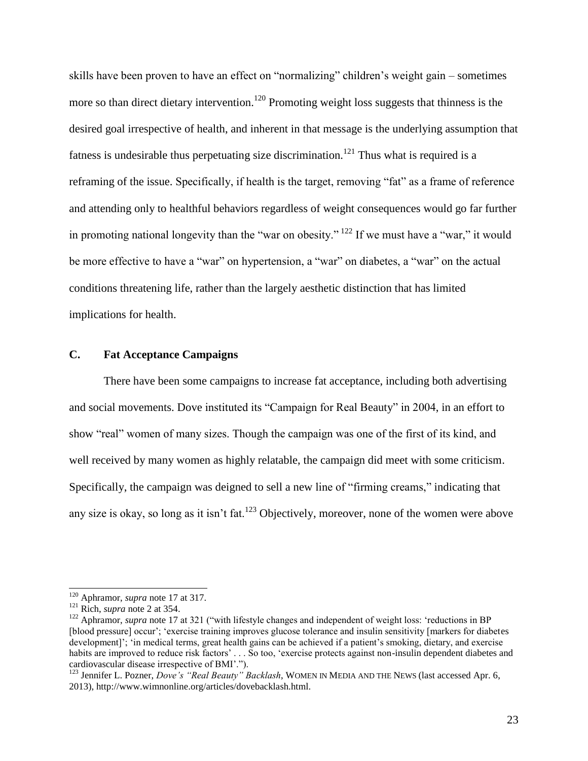skills have been proven to have an effect on "normalizing" children's weight gain – sometimes more so than direct dietary intervention.<sup>120</sup> Promoting weight loss suggests that thinness is the desired goal irrespective of health, and inherent in that message is the underlying assumption that fatness is undesirable thus perpetuating size discrimination.<sup>121</sup> Thus what is required is a reframing of the issue. Specifically, if health is the target, removing "fat" as a frame of reference and attending only to healthful behaviors regardless of weight consequences would go far further in promoting national longevity than the "war on obesity."  $^{122}$  If we must have a "war," it would be more effective to have a "war" on hypertension, a "war" on diabetes, a "war" on the actual conditions threatening life, rather than the largely aesthetic distinction that has limited implications for health.

## **C. Fat Acceptance Campaigns**

There have been some campaigns to increase fat acceptance, including both advertising and social movements. Dove instituted its "Campaign for Real Beauty" in 2004, in an effort to show "real" women of many sizes. Though the campaign was one of the first of its kind, and well received by many women as highly relatable, the campaign did meet with some criticism. Specifically, the campaign was deigned to sell a new line of "firming creams," indicating that any size is okay, so long as it isn't fat.<sup>123</sup> Objectively, moreover, none of the women were above

<sup>120</sup> Aphramor, *supra* note 17 at 317.

<sup>121</sup> Rich, *supra* note 2 at 354.

<sup>&</sup>lt;sup>122</sup> Aphramor, *supra* note 17 at 321 ("with lifestyle changes and independent of weight loss: 'reductions in BP [blood pressure] occur'; 'exercise training improves glucose tolerance and insulin sensitivity [markers for diabetes development]'; 'in medical terms, great health gains can be achieved if a patient's smoking, dietary, and exercise habits are improved to reduce risk factors' ... So too, 'exercise protects against non-insulin dependent diabetes and cardiovascular disease irrespective of BMI'.").

<sup>&</sup>lt;sup>123</sup> Jennifer L. Pozner, *Dove's "Real Beauty" Backlash*, WOMEN IN MEDIA AND THE NEWS (last accessed Apr. 6, 2013), http://www.wimnonline.org/articles/dovebacklash.html.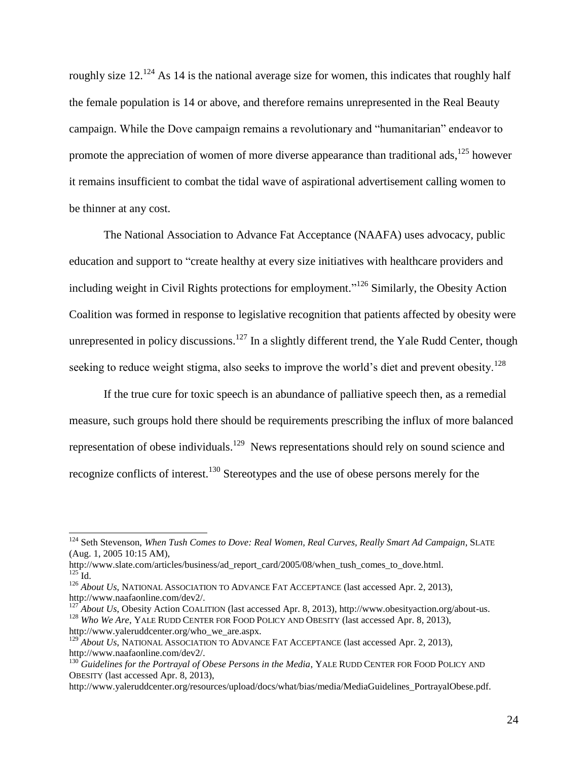roughly size  $12^{124}$  As 14 is the national average size for women, this indicates that roughly half the female population is 14 or above, and therefore remains unrepresented in the Real Beauty campaign. While the Dove campaign remains a revolutionary and "humanitarian" endeavor to promote the appreciation of women of more diverse appearance than traditional ads,<sup>125</sup> however it remains insufficient to combat the tidal wave of aspirational advertisement calling women to be thinner at any cost.

The National Association to Advance Fat Acceptance (NAAFA) uses advocacy, public education and support to "create healthy at every size initiatives with healthcare providers and including weight in Civil Rights protections for employment."<sup>126</sup> Similarly, the Obesity Action Coalition was formed in response to legislative recognition that patients affected by obesity were unrepresented in policy discussions.<sup>127</sup> In a slightly different trend, the Yale Rudd Center, though seeking to reduce weight stigma, also seeks to improve the world's diet and prevent obesity.<sup>128</sup>

If the true cure for toxic speech is an abundance of palliative speech then, as a remedial measure, such groups hold there should be requirements prescribing the influx of more balanced representation of obese individuals.<sup>129</sup> News representations should rely on sound science and recognize conflicts of interest.<sup>130</sup> Stereotypes and the use of obese persons merely for the

<sup>&</sup>lt;sup>124</sup> Seth Stevenson, *When Tush Comes to Dove: Real Women, Real Curves, Really Smart Ad Campaign*, SLATE (Aug. 1, 2005 10:15 AM),

http://www.slate.com/articles/business/ad\_report\_card/2005/08/when\_tush\_comes\_to\_dove.html.  $125$  Id.

<sup>&</sup>lt;sup>126</sup> *About Us*, NATIONAL ASSOCIATION TO ADVANCE FAT ACCEPTANCE (last accessed Apr. 2, 2013), http://www.naafaonline.com/dev2/.

<sup>&</sup>lt;sup>1</sup> *About Us*, Obesity Action COALITION (last accessed Apr. 8, 2013), http://www.obesityaction.org/about-us. <sup>128</sup> Who We Are, YALE RUDD CENTER FOR FOOD POLICY AND OBESITY (last accessed Apr. 8, 2013), http://www.yaleruddcenter.org/who\_we\_are.aspx.

<sup>&</sup>lt;sup>129</sup> *About Us*, NATIONAL ASSOCIATION TO ADVANCE FAT ACCEPTANCE (last accessed Apr. 2, 2013), http://www.naafaonline.com/dev2/.

<sup>130</sup> *Guidelines for the Portrayal of Obese Persons in the Media*, YALE RUDD CENTER FOR FOOD POLICY AND OBESITY (last accessed Apr. 8, 2013),

http://www.yaleruddcenter.org/resources/upload/docs/what/bias/media/MediaGuidelines\_PortrayalObese.pdf.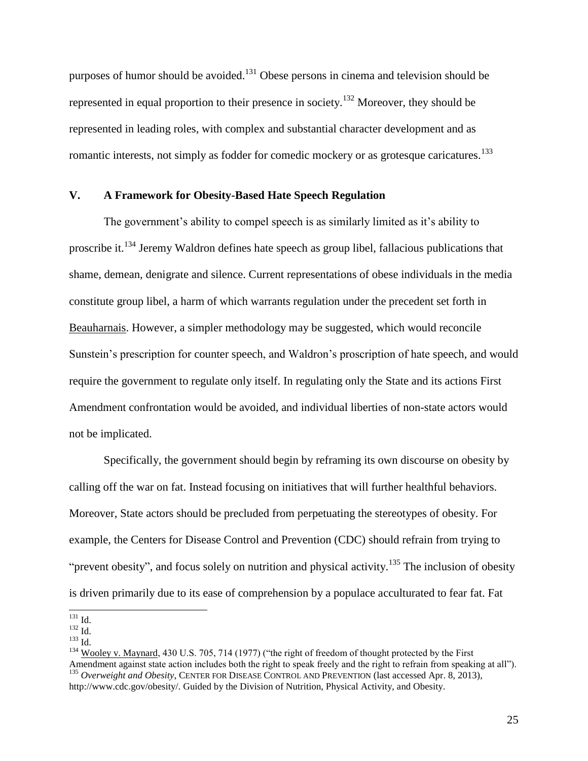purposes of humor should be avoided.<sup>131</sup> Obese persons in cinema and television should be represented in equal proportion to their presence in society.<sup>132</sup> Moreover, they should be represented in leading roles, with complex and substantial character development and as romantic interests, not simply as fodder for comedic mockery or as grotesque caricatures.<sup>133</sup>

#### **V. A Framework for Obesity-Based Hate Speech Regulation**

The government's ability to compel speech is as similarly limited as it's ability to proscribe it.<sup>134</sup> Jeremy Waldron defines hate speech as group libel, fallacious publications that shame, demean, denigrate and silence. Current representations of obese individuals in the media constitute group libel, a harm of which warrants regulation under the precedent set forth in Beauharnais. However, a simpler methodology may be suggested, which would reconcile Sunstein's prescription for counter speech, and Waldron's proscription of hate speech, and would require the government to regulate only itself. In regulating only the State and its actions First Amendment confrontation would be avoided, and individual liberties of non-state actors would not be implicated.

Specifically, the government should begin by reframing its own discourse on obesity by calling off the war on fat. Instead focusing on initiatives that will further healthful behaviors. Moreover, State actors should be precluded from perpetuating the stereotypes of obesity. For example, the Centers for Disease Control and Prevention (CDC) should refrain from trying to "prevent obesity", and focus solely on nutrition and physical activity.<sup>135</sup> The inclusion of obesity is driven primarily due to its ease of comprehension by a populace acculturated to fear fat. Fat

l  $^{131}$  Id.

 $^{132}$  Id.

<sup>133</sup> Id.

<sup>&</sup>lt;sup>134</sup> Wooley v. Maynard, 430 U.S. 705, 714 (1977) ("the right of freedom of thought protected by the First Amendment against state action includes both the right to speak freely and the right to refrain from speaking at all"). <sup>135</sup> Overweight and Obesity, CENTER FOR DISEASE CONTROL AND PREVENTION (last accessed Apr. 8, 2013), http://www.cdc.gov/obesity/. Guided by the Division of Nutrition, Physical Activity, and Obesity.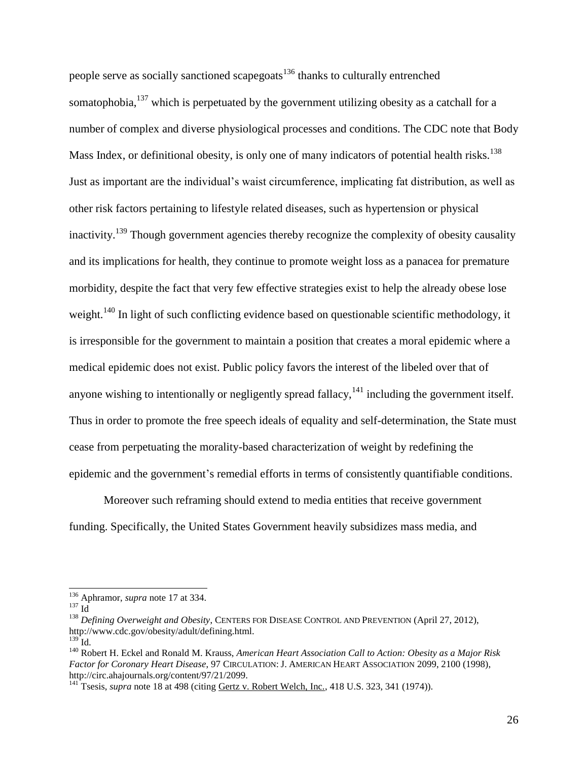people serve as socially sanctioned scapegoats<sup>136</sup> thanks to culturally entrenched somatophobia,<sup>137</sup> which is perpetuated by the government utilizing obesity as a catchall for a number of complex and diverse physiological processes and conditions. The CDC note that Body Mass Index, or definitional obesity, is only one of many indicators of potential health risks.<sup>138</sup> Just as important are the individual's waist circumference, implicating fat distribution, as well as other risk factors pertaining to lifestyle related diseases, such as hypertension or physical inactivity.<sup>139</sup> Though government agencies thereby recognize the complexity of obesity causality and its implications for health, they continue to promote weight loss as a panacea for premature morbidity, despite the fact that very few effective strategies exist to help the already obese lose weight.<sup>140</sup> In light of such conflicting evidence based on questionable scientific methodology, it is irresponsible for the government to maintain a position that creates a moral epidemic where a medical epidemic does not exist. Public policy favors the interest of the libeled over that of anyone wishing to intentionally or negligently spread fallacy,  $141$  including the government itself. Thus in order to promote the free speech ideals of equality and self-determination, the State must cease from perpetuating the morality-based characterization of weight by redefining the epidemic and the government's remedial efforts in terms of consistently quantifiable conditions.

Moreover such reframing should extend to media entities that receive government funding. Specifically, the United States Government heavily subsidizes mass media, and

<sup>136</sup> Aphramor, *supra* note 17 at 334.

 $^{137}$  Id

<sup>138</sup> *Defining Overweight and Obesity*, CENTERS FOR DISEASE CONTROL AND PREVENTION (April 27, 2012), http://www.cdc.gov/obesity/adult/defining.html.

<sup>139</sup> Id*.*

<sup>140</sup> Robert H. Eckel and Ronald M. Krauss, *American Heart Association Call to Action: Obesity as a Major Risk Factor for Coronary Heart Disease*, 97 CIRCULATION: J. AMERICAN HEART ASSOCIATION 2099, 2100 (1998), http://circ.ahajournals.org/content/97/21/2099.

<sup>141</sup> Tsesis, *supra* note 18 at 498 (citing Gertz v. Robert Welch, Inc., 418 U.S. 323, 341 (1974)).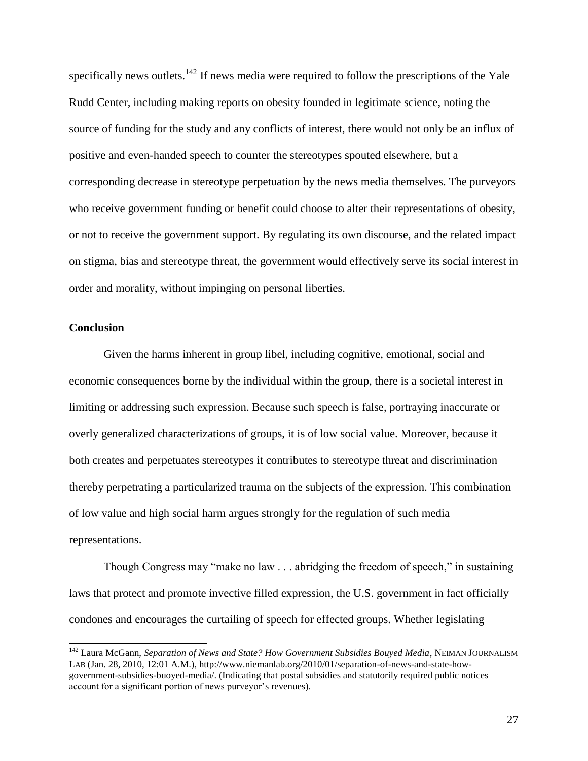specifically news outlets.<sup>142</sup> If news media were required to follow the prescriptions of the Yale Rudd Center, including making reports on obesity founded in legitimate science, noting the source of funding for the study and any conflicts of interest, there would not only be an influx of positive and even-handed speech to counter the stereotypes spouted elsewhere, but a corresponding decrease in stereotype perpetuation by the news media themselves. The purveyors who receive government funding or benefit could choose to alter their representations of obesity, or not to receive the government support. By regulating its own discourse, and the related impact on stigma, bias and stereotype threat, the government would effectively serve its social interest in order and morality, without impinging on personal liberties.

#### **Conclusion**

l

Given the harms inherent in group libel, including cognitive, emotional, social and economic consequences borne by the individual within the group, there is a societal interest in limiting or addressing such expression. Because such speech is false, portraying inaccurate or overly generalized characterizations of groups, it is of low social value. Moreover, because it both creates and perpetuates stereotypes it contributes to stereotype threat and discrimination thereby perpetrating a particularized trauma on the subjects of the expression. This combination of low value and high social harm argues strongly for the regulation of such media representations.

Though Congress may "make no law . . . abridging the freedom of speech," in sustaining laws that protect and promote invective filled expression, the U.S. government in fact officially condones and encourages the curtailing of speech for effected groups. Whether legislating

<sup>&</sup>lt;sup>142</sup> Laura McGann, *Separation of News and State? How Government Subsidies Bouyed Media*, NEIMAN JOURNALISM LAB (Jan. 28, 2010, 12:01 A.M.), http://www.niemanlab.org/2010/01/separation-of-news-and-state-howgovernment-subsidies-buoyed-media/. (Indicating that postal subsidies and statutorily required public notices account for a significant portion of news purveyor's revenues).